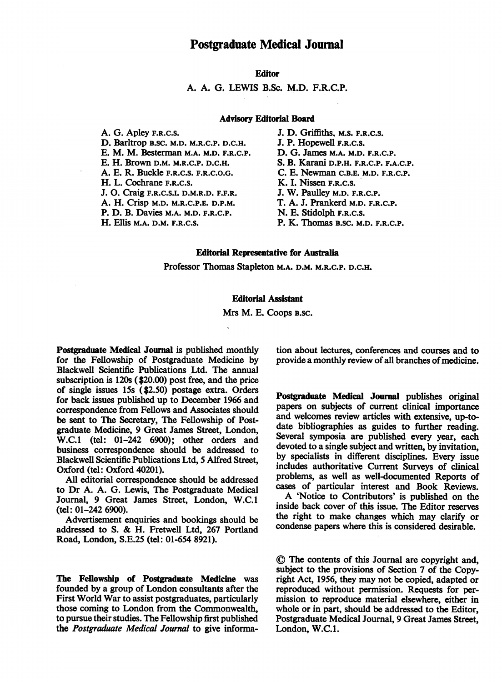**Editor** 

A. A. G. LEWIS B.Sc. M.D. F.R.C.P.

## Advisory Editorial Board

A. G. Apley F.R.C.S. D. Barltrop B.SC. M.D. M.R.C.P. D.C.H. E. M. M. Besterman M.A. M.D. F.R.C.P. E. H. Brown D.M. M.R.C.P. D.C.H. A. E. R. Buckle F.R.C.S. F.R.C.O.G. H. L. Cochrane F.R.C.S. J. 0. Craig F.R.C.S.I. D.M.R.D. F.F.R. A. H. Crisp M.D. M.R.C.P.E. D.P.M. P. D. B. Davies M.A. M.D. F.R.C.P. H. Ellis M.A. D.M. F.R.C.S.

J. D. Griffiths, M.S. F.R.C.S. J. P. Hopewell F.R.C.S. D. G. James M.A. M.D. F.R.C.P. S. B. Karani D.P.H. F.R.C.P. F.A.C.P. C. E. Newman C.B.E. M.D. F.R.C.P. K. I. Nissen F.R.C.S. J. W. Paulley M.D. F.R.C.P. T. A. J. Prankerd M.D. F.R.C.P. N. E. Stidolph F.R.C.S.

P. K. Thomas B.SC. M.D. F.R.C.P.

### Editorial Representative for Australia

Professor Thomas Stapleton M.A. D.M. M.R.C.P. D.C.H.

## Editorial Assistant

Mrs M. E. Coops B.SC.

Postgraduate Medical Journal is published monthly for the Fellowship of Postgraduate Medicine by Blackwell Scientific Publications Ltd. The annual subscription is 120s (\$20.00) post free, and the price of single issues 15s (\$2.50) postage extra. Orders for back issues published up to December 1966 and correspondence from Fellows and Associates should be sent to The Secretary, The Fellowship of Postgraduate Medicine, 9 Great James Street, London, W.C.1 (tel: 01-242 6900); other orders and business correspondence should be addressed to Blackwell Scientific Publications Ltd, 5 Alfred Street, Oxford (tel: Oxford 40201).

All editorial correspondence should be addressed to Dr A. A. G. Lewis, The Postgraduate Medical Journal, 9 Great James Street, London, W.C.1 (tel: 01-242 6900).

Advertisement enquiries and bookings should be addressed to S. & H. Fretwell Ltd, <sup>267</sup> Portland Road, London, S.E.25 (tel: 01-654 8921).

The Fellowship of Postgraduate Medicine was founded by a group of London consultants after the First World War to assist postgraduates, particularly those coming to London from the Commonwealth, to pursue their studies. The Fellowship first published the Postgraduate Medical Journal to give information about lectures, conferences and courses and to provide a monthly review of all branches of medicine.

Postgraduate Medical Journal publishes original papers on subjects of current clinical importance and welcomes review articles with extensive, up-todate bibliographies as guides to further reading. Several symposia are published every year, each devoted to a single subject and written, by invitation, by specialists in different disciplines. Every issue includes authoritative Current Surveys of clinical problems, as well as well-documented Reports of cases of particular interest and Book Reviews.

A 'Notice to Contributors' is published on the inside back cover of this issue. The Editor reserves the right to make changes which may clarify or condense papers where this is considered desirable.

© The contents of this Journal are copyright and, subject to the provisions of Section 7 of the Copyright Act, 1956, they may not be copied, adapted or reproduced without permission. Requests for permission to reproduce material elsewhere, either in whole or in part, should be addressed to the Editor, Postgraduate Medical Journal, 9 Great James Street, London, W.C.1.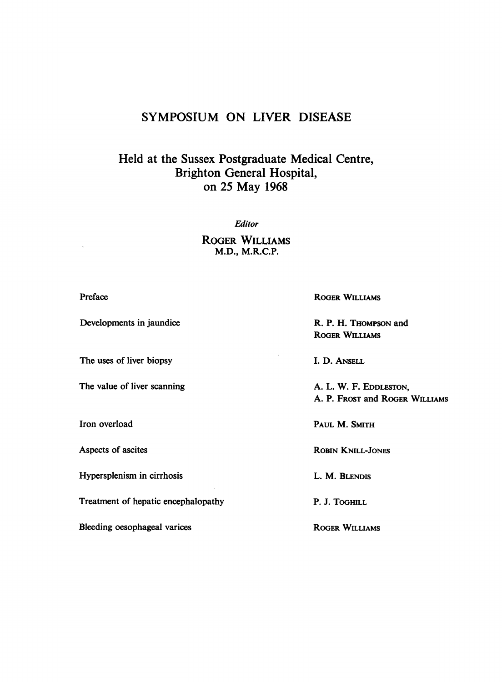# SYMPOSIUM ON LIVER DISEASE

# Held at the Sussex Postgraduate Medical Centre, Brighton General Hospital, on 25 May <sup>1968</sup>

Editor

ROGER WILLIAMS M.D., M.R.C.P.

| Preface                             | <b>ROGER WILLIAMS</b>                                    |
|-------------------------------------|----------------------------------------------------------|
| Developments in jaundice            | R. P. H. THOMPSON and<br><b>ROGER WILLIAMS</b>           |
| The uses of liver biopsy            | I. D. ANSELL                                             |
| The value of liver scanning         | A. L. W. F. EDDLESTON,<br>A. P. FROST and ROGER WILLIAMS |
| Iron overload                       | PAUL M. SMITH                                            |
| Aspects of ascites                  | <b>ROBIN KNILL-JONES</b>                                 |
| Hypersplenism in cirrhosis          | L. M. BLENDIS                                            |
| Treatment of hepatic encephalopathy | P. J. TOGHILL                                            |
|                                     |                                                          |

ROGER WILLIAMS

Bleeding oesophageal varices

 $\ddot{\phantom{a}}$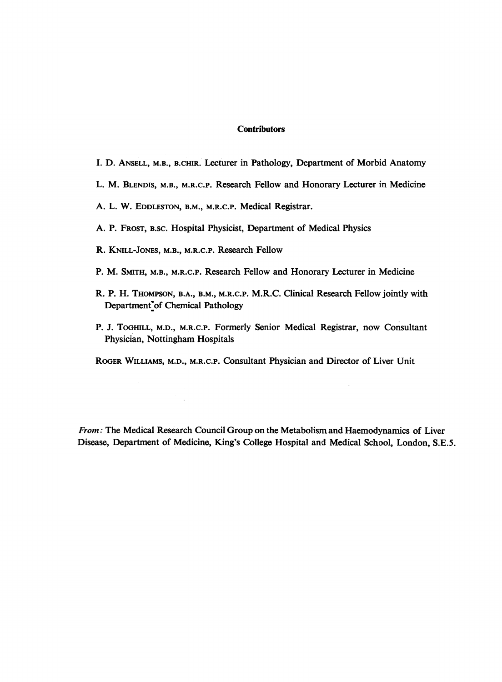## **Contributors**

- I. D. ANSELL, M.B., B.CHIR. Lecturer in Pathology, Department of Morbid Anatomy
- L. M. BLENDIS, M.B., M.R.C.P. Research Fellow and Honorary Lecturer in Medicine
- A. L. W. EDDLESTON, B.M., M.R.C.P. Medical Registrar.
- A. P. FROST, B.SC. Hospital Physicist, Department of Medical Physics
- R. KNILL-JONES, M.B., M.R.C.P. Research Fellow
- P. M. SMITH, M.B., M.R.C.P. Research Fellow and Honorary Lecturer in Medicine
- R. P. H. THOMPSON, B.A., B.M., M.R.C.P. M.R.C. Clinical Research Fellow jointly with Department'of Chemical Pathology
- P. J. TOGHILL, M.D., M.R.C.P. Formerly Senior Medical Registrar, now Consultant Physician, Nottingham Hospitals

ROGER WILLIAMS, M.D., M.R.C.P. Consultant Physician and Director of Liver Unit

From: The Medical Research Council Group on the Metabolism and Haemodynamics of Liver Disease, Department of Medicine, King's College Hospital and Medical School, London, S.E.5.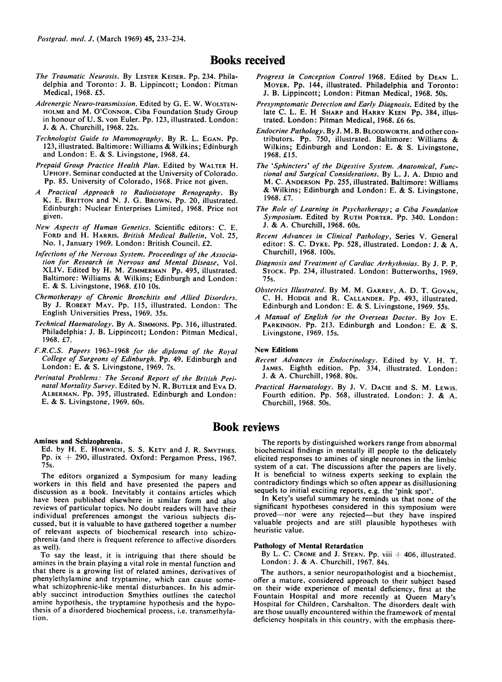# Books received

- The Traumatic Neurosis. By LESTER KEISER. Pp. 234. Philadelphia and Toronto: J. B. Lippincott; London: Pitman Medical, 1968. £5.
- Adrenergic Neuro-transmission. Edited by G. E. W. WOLSTEN-HOLME and M. O'CONNOR. Ciba Foundation Study Group in honour of U. S. von Euler. Pp. 123, illustrated. London: J. & A. Churchill, 1968. 22s.
- Technologist Guide to Mammography. By R. L. EGAN. Pp. 123, illustrated. Baltimore: Williams & Wilkins; Edinburgh and London: E. & S. Livingstone, 1968. £4.
- Prepaid Group Practice Health Plan. Edited by WALTER H. UPHOFF. Seminar conducted at the University of Colorado. Pp. 85. University of Colorado, 1968. Price not given.
- A Practical Approach to Radioisotope Renography. By K. E. BRITTON and N. J. G. BROWN. Pp. 20, illustrated. Edinburgh: Nuclear Enterprises Limited, 1968. Price not given.
- New Aspects of Human Genetics. Scientific editors: C. E. FORD and H. HARRIS. British Medical Bulletin, Vol. 25, No. 1, January 1969. London: British Council. £2.
- Infections of the Nervous System. Proceedings of the Association for Research in Nervous and Mental Disease, Vol. XLIV. Edited by H. M. ZIMMERMAN Pp. 495, illustrated. Baltimore: Williams & Wilkins; Edinburgh and London: E. & S. Livingstone, 1968. £10 10s.
- Chemotherapy of Chronic Bronchitis and Allied Disorders. By J. ROBERT MAY. Pp. 115, illustrated. London: The English Universities Press, 1969. 35s.
- Technical Haematology. By A. SIMMONS. Pp. 316, illustrated. Philadelphia: J. B. Lippincott; London: Pitman Medical, 1968. £7.
- F.R.C.S. Papers 1963-1968 for the diploma of the Royal College of Surgeons of Edinburgh. Pp. 49. Edinburgh and London: E. & S. Livingstone, 1969. 7s.
- Perinatal Problems: The Second Report of the British Perinatal Mortality Survey. Edited by N. R. BUTLER and EVA D. ALBERMAN. Pp. 395, illustrated. Edinburgh and London: E. & S. Livingstone, 1969. 60s.

#### Amines and Schizophrenia.

Ed. by H. E. HIMWICH, S. S. KETY and J. R. SMYTHIES. Pp. ix  $+$  290, illustrated. Oxford: Pergamon Press, 1967. 75s.

The editors organized <sup>a</sup> Symposium for many leading workers in this field and have presented the papers and discussion as a book. Inevitably it contains articles which have been published elsewhere in similar form and also reviews of particular topics. No doubt readers will have their individual preferences amongst the various subjects discussed, but it is valuable to have gathered together a number of relevant aspects of biochemical research into schizophrenia (and there is frequent reference to affective disorders as well).

To say the least, it is intriguing that there should be amines in the brain playing a vital role in mental function and that there is a growing list of related amines, derivatives of phenylethylamine and tryptamine, which can cause somewhat schizophrenic-like mental disturbances. In his admirably succinct introduction Smythies outlines the catechol amine hypothesis, the tryptamine hypothesis and the hypo thesis of <sup>a</sup> disordered biochemical process, i.e. transmethyla tion.

- Progress in Conception Control 1968. Edited by DEAN L. MOYER. Pp. 144, illustrated. Philadelphia and Toronto: J. B. Lippincott; London: Pitman Medical, 1968. 50s.
- Presymptomatic Detection and Early Diagnosis. Edited by the late C. L. E. H SHARP and HARRY KEEN Pp. 384, illustrated. London: Pitman Medical, 1968. £6 6s.
- Endocrine Pathology. By J. M. B. BLOODWORTH, and other contributors. Pp. 750, illustrated. Baltimore: Williams & Wilkins; Edinburgh and London: E. & S. Livingstone, 1968. £15.
- The 'Sphincters' of the Digestive System. Anatomical, Functional and Surgical Considerations. By L. J. A. DIDIO and M. C. ANDERSON Pp. 255, illustrated. Baltimore: Williams & Wilkins; Edinburgh and London: E. & S. Livingstone, 1968. £7.
- The Role of Learning in Psychotherapy; a Ciba Foundation Symposium. Edited by RUTH PORTER. Pp. 340. London: J. & A. Churchill, 1968. 60s.
- Recent Advances in Clinical Pathology, Series V. General editor: S. C. DYKE. Pp. 528, illustrated. London: J. & A. Churchill, 1968. 100s.
- Diagnosis and Treatment of Cardiac Arrhythmias. By J. P. P. STOCK. Pp. 234, illustrated. London: Butterworths, 1969. 75s.
- Obstetrics Illustrated. By M. M. GARREY, A. D. T. GOVAN, C. H. HODGE and R. CALLANDER. Pp. 493, illustrated. Edinburgh and London: E. & S. Livingstone, 1969. 55s.
- A Manual of English for the Overseas Doctor. By JoY E. PARKINSON. Pp. 213. Edinburgh and London: E. & S. Livingstone, 1969. 15s.

#### New Editions

- Recent Advances in Endocrinology. Edited by V. H. T. JAMES. Eighth edition. Pp. 334, illustrated. London: J. & A. Churchill, 1968. 80s.
- Practical Haematology. By J. V. DACIE and S. M. Lewis.<br>Fourth edition. Pp. 568, illustrated. London: J. & A. Churchill, 1968. 50s.

## Book reviews

The reports by distinguished workers range from abnormal biochemical findings in mentally ill people to the delicately elicited responses to amines of single neurones in the limbic system of <sup>a</sup> cat. The discussions after the papers are lively. It is beneficial to witness experts seeking to explain the contradictory findings which so often appear as disillusioning sequels to initial exciting reports, e.g. the 'pink spot'.

In Kety's useful summary he reminds us that none of the significant hypotheses considered in this symposium were valuable projects and are still plausible hypotheses with heuristic value.

#### Pathology of Mental Retardation

By L. C. CROME and J. STERN. Pp. viii  $+406$ , illustrated. London: J. & A. Churchill, 1967. 84s.

The authors, <sup>a</sup> senior neuropathologist and <sup>a</sup> biochemist, offer a mature, considered approach to their subject based on their wide experience of mental deficiency, first at the Fountain Hospital and more recently at Queen Mary's Hospital for Children, Carshalton. The disorders dealt with are those usually encountered within the framework of mental deficiency hospitals in this country, with the emphasis there-